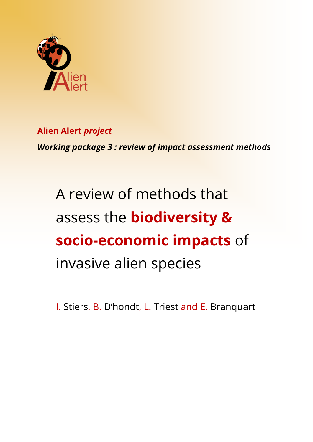

**Alien Alert** *project Working package 3 : review of impact assessment methods*

A review of methods that assess the **biodiversity & socio-economic impacts** of invasive alien species

I. Stiers, B. D'hondt, L. Triest and E. Branquart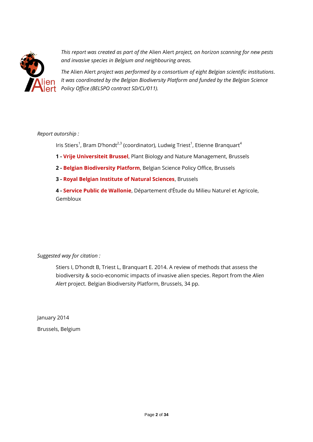

*This report was created as part of the* Alien Alert *project, on horizon scanning for new pests and invasive species in Belgium and neighbouring areas.*

*The* Alien Alert *project was performed by a consortium of eight Belgian scientific institutions. It was coordinated by the Belgian Biodiversity Platform and funded by the Belgian Science Policy Office (BELSPO contract SD/CL/011).*

# *Report autorship :*

Iris Stiers<sup>1</sup>, Bram D'hondt<sup>2,3</sup> (coordinator), Ludwig Triest<sup>1</sup>, Etienne Branquart<sup>4</sup>

- **1 - Vrije Universiteit Brussel**, Plant Biology and Nature Management, Brussels
- **2 - Belgian Biodiversity Platform**, Belgian Science Policy Office, Brussels
- **3 - Royal Belgian Institute of Natural Sciences**, Brussels

**4 - Service Public de Wallonie**, Département d'Étude du Milieu Naturel et Agricole, Gembloux

*Suggested way for citation :*

Stiers I, D'hondt B, Triest L, Branquart E. 2014. A review of methods that assess the biodiversity & socio-economic impacts of invasive alien species. Report from the *Alien Alert* project. Belgian Biodiversity Platform, Brussels, 34 pp.

January 2014 Brussels, Belgium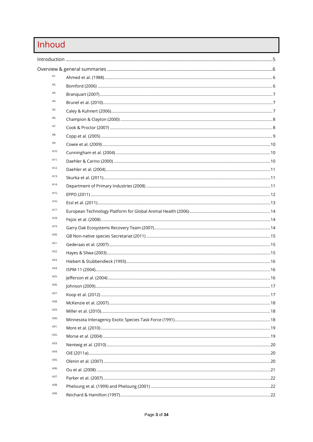# Inhoud

| A1.  |  |      |  |  |  |
|------|--|------|--|--|--|
| A2.  |  |      |  |  |  |
| A3.  |  |      |  |  |  |
| A4.  |  |      |  |  |  |
| A5.  |  |      |  |  |  |
| A6.  |  |      |  |  |  |
| A7.  |  |      |  |  |  |
| A8.  |  |      |  |  |  |
| A9.  |  |      |  |  |  |
| A10. |  |      |  |  |  |
| A11. |  |      |  |  |  |
| A12. |  |      |  |  |  |
| A13. |  |      |  |  |  |
| A14. |  |      |  |  |  |
| A15. |  |      |  |  |  |
| A16. |  |      |  |  |  |
| A17. |  |      |  |  |  |
| A18. |  |      |  |  |  |
| A19. |  |      |  |  |  |
| A20. |  |      |  |  |  |
| A21. |  |      |  |  |  |
| A22. |  |      |  |  |  |
| A23. |  |      |  |  |  |
| A24. |  |      |  |  |  |
| A25. |  |      |  |  |  |
| A26. |  | . 17 |  |  |  |
| A27. |  |      |  |  |  |
| A28. |  |      |  |  |  |
| A29. |  |      |  |  |  |
| A30. |  |      |  |  |  |
| A31. |  |      |  |  |  |
| A32. |  |      |  |  |  |
| A33. |  |      |  |  |  |
| A34. |  |      |  |  |  |
| A35. |  |      |  |  |  |
| A36. |  |      |  |  |  |
| A37. |  |      |  |  |  |
| A38. |  |      |  |  |  |
| A39. |  |      |  |  |  |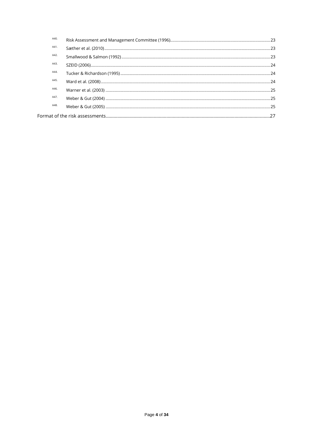| A40. |  |
|------|--|
| A41. |  |
| A42. |  |
| A43. |  |
| A44. |  |
| A45. |  |
| A46. |  |
| A47. |  |
| A48. |  |
|      |  |
|      |  |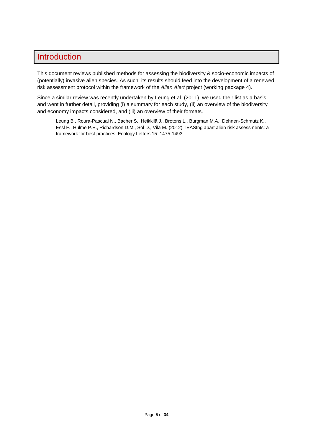# <span id="page-4-0"></span>**Introduction**

This document reviews published methods for assessing the biodiversity & socio-economic impacts of (potentially) invasive alien species. As such, its results should feed into the development of a renewed risk assessment protocol within the framework of the *Alien Alert* project (working package 4).

Since a similar review was recently undertaken by Leung et al. (2011), we used their list as a basis and went in further detail, providing (i) a summary for each study, (ii) an overview of the biodiversity and economy impacts considered, and (iii) an overview of their formats.

Leung B., Roura-Pascual N., Bacher S., Heikkilä J., Brotons L., Burgman M.A., Dehnen-Schmutz K., Essl F., Hulme P.E., Richardson D.M., Sol D., Vilà M. (2012) TEASIng apart alien risk assessments: a framework for best practices. Ecology Letters 15: 1475-1493.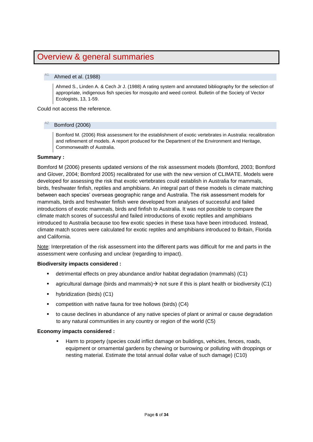# <span id="page-5-0"></span>Overview & general summaries

# <span id="page-5-1"></span>Ahmed et al. (1988)

Ahmed S., Linden A. & Cech Jr J. (1988) A rating system and annotated bibliography for the selection of appropriate, indigenous fish species for mosquito and weed control. Bulletin of the Society of Vector Ecologists, 13, 1-59.

<span id="page-5-2"></span>Could not access the reference.

# Bomford (2006)

Bomford M. (2006) Risk assessment for the establishment of exotic vertebrates in Australia: recalibration and refinement of models. A report produced for the Department of the Environment and Heritage, Commonwealth of Australia.

# **Summary :**

Bomford M (2006) presents updated versions of the risk assessment models (Bomford, 2003; Bomford and Glover, 2004; Bomford 2005) recalibrated for use with the new version of CLIMATE. Models were developed for assessing the risk that exotic vertebrates could establish in Australia for mammals, birds, freshwater finfish, reptiles and amphibians. An integral part of these models is climate matching between each species' overseas geographic range and Australia. The risk assessment models for mammals, birds and freshwater finfish were developed from analyses of successful and failed introductions of exotic mammals, birds and finfish to Australia. It was not possible to compare the climate match scores of successful and failed introductions of exotic reptiles and amphibians introduced to Australia because too few exotic species in these taxa have been introduced. Instead, climate match scores were calculated for exotic reptiles and amphibians introduced to Britain, Florida and California.

Note: Interpretation of the risk assessment into the different parts was difficult for me and parts in the assessment were confusing and unclear (regarding to impact).

#### **Biodiversity impacts considered :**

- detrimental effects on prey abundance and/or habitat degradation (mammals) (C1)
- **agricultural damage (birds and mammals)**  $\rightarrow$  **not sure if this is plant health or biodiversity (C1)**
- **•** hybridization (birds) (C1)
- competition with native fauna for tree hollows (birds) (C4)
- to cause declines in abundance of any native species of plant or animal or cause degradation to any natural communities in any country or region of the world (C5)

#### **Economy impacts considered :**

 Harm to property (species could inflict damage on buildings, vehicles, fences, roads, equipment or ornamental gardens by chewing or burrowing or polluting with droppings or nesting material. Estimate the total annual dollar value of such damage) (C10)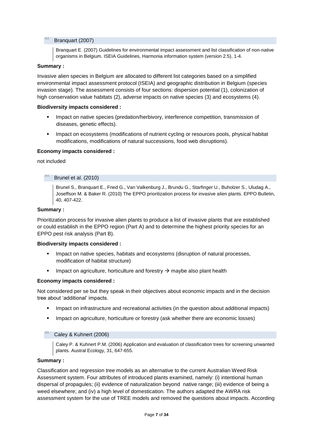# <span id="page-6-0"></span>Branquart (2007)

Branquart E. (2007) Guidelines for environmental impact assessment and list classification of non-native organisms in Belgium. ISEIA Guidelines, Harmonia information system (version 2.5), 1-4.

# **Summary :**

Invasive alien species in Belgium are allocated to different list categories based on a simplified environmental impact assessment protocol (ISEIA) and geographic distribution in Belgium (species invasion stage). The assessment consists of four sections: dispersion potential (1), colonization of high conservation value habitats (2), adverse impacts on native species (3) and ecosystems (4).

## **Biodiversity impacts considered :**

- **IMPACT ON NATION STATE:** Impact on native species (predation/herbivory, interference competition, transmission of diseases, genetic effects).
- **IMPACT OF A EXECT A HOMOGET CONSTRANGED FOR A HOMOGET A HOMOGET A HOMOGET A HOMOGET A HOMOGET A HOMOGET A HOMOGET A HOMOGET A HOMOGET A HOMOGET A HOMOGET A HOMOGET A HOMOGET A HOMOGET A HOMOGET A HOMOGET A HOMOGET A HOMOG** modifications, modifications of natural successions, food web disruptions).

#### **Economy impacts considered :**

#### <span id="page-6-1"></span>not included

# Brunel et al. (2010)

Brunel S., Branquart E., Fried G., Van Valkenburg J., Brundu G., Starfinger U., Buholzer S., Uludag A., Joseffson M. & Baker R. (2010) The EPPO prioritization process for invasive alien plants. EPPO Bulletin, 40, 407-422.

# **Summary :**

Prioritization process for invasive alien plants to produce a list of invasive plants that are established or could establish in the EPPO region (Part A) and to determine the highest priority species for an EPPO pest risk analysis (Part B).

#### **Biodiversity impacts considered :**

- Impact on native species, habitats and ecosystems (disruption of natural processes, modification of habitat structure)
- Impact on agriculture, horticulture and forestry  $\rightarrow$  maybe also plant health

#### **Economy impacts considered :**

Not considered per se but they speak in their objectives about economic impacts and in the decision tree about 'additional' impacts.

- Impact on infrastructure and recreational activities (in the question about additional impacts)
- **IMPACT ON A 2018 19 IMPACT ON A 2018 10 IMPACT A 2018 10 IMPACT A 2019 10 IMPACT 40 IMPACT 40 IMPACT 40 IMPACT 40 IMPACT 40 IMPACT 40 IMPACT 40 IMPACT 40 IMPACT 40 IMPACT 40 IMPACT 40 IMPACT 40 IMPACT 40 IMPACT 40 IMPACT**

#### <span id="page-6-2"></span>Caley & Kuhnert (2006)

Caley P. & Kuhnert P.M. (2006) Application and evaluation of classification trees for screening unwanted plants. Austral Ecology, 31, 647-655.

#### **Summary :**

Classification and regression tree models as an alternative to the current Australian Weed Risk Assessment system. Four attributes of introduced plants examined, namely: (i) intentional human dispersal of propagules; (ii) evidence of naturalization beyond native range; (iii) evidence of being a weed elsewhere; and (iv) a high level of domestication. The authors adapted the AWRA risk assessment system for the use of TREE models and removed the questions about impacts. According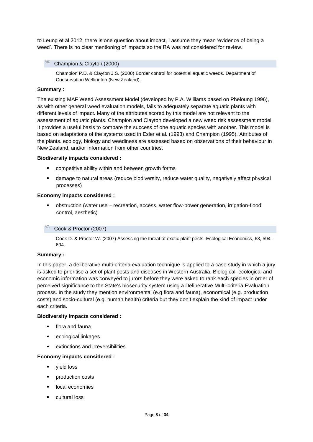to Leung et al 2012, there is one question about impact, I assume they mean 'evidence of being a weed'. There is no clear mentioning of impacts so the RA was not considered for review.

# <span id="page-7-0"></span>Champion & Clayton (2000)

Champion P.D. & Clayton J.S. (2000) Border control for potential aquatic weeds. Department of Conservation Wellington (New Zealand).

# **Summary :**

The existing MAF Weed Assessment Model (developed by P.A. Williams based on Pheloung 1996), as with other general weed evaluation models, fails to adequately separate aquatic plants with different levels of impact. Many of the attributes scored by this model are not relevant to the assessment of aquatic plants. Champion and Clayton developed a new weed risk assessment model. It provides a useful basis to compare the success of one aquatic species with another. This model is based on adaptations of the systems used in Esler et al. (1993) and Champion (1995). Attributes of the plants. ecology, biology and weediness are assessed based on observations of their behaviour in New Zealand, and/or information from other countries.

# **Biodiversity impacts considered :**

- competitive ability within and between growth forms
- damage to natural areas (reduce biodiversity, reduce water quality, negatively affect physical processes)

# **Economy impacts considered :**

 obstruction (water use – recreation, access, water flow-power generation, irrigation-flood control, aesthetic)

# <span id="page-7-1"></span>Cook & Proctor (2007)

Cook D. & Proctor W. (2007) Assessing the threat of exotic plant pests. Ecological Economics, 63, 594- 604.

# **Summary :**

In this paper, a deliberative multi-criteria evaluation technique is applied to a case study in which a jury is asked to prioritise a set of plant pests and diseases in Western Australia. Biological, ecological and economic information was conveyed to jurors before they were asked to rank each species in order of perceived significance to the State's biosecurity system using a Deliberative Multi-criteria Evaluation process. In the study they mention environmental (e.g flora and fauna), economical (e.g. production costs) and socio-cultural (e.g. human health) criteria but they don't explain the kind of impact under each criteria.

# **Biodiversity impacts considered :**

- flora and fauna
- **EXECOLOGICAL LINKAGES**
- extinctions and irreversibilities

# **Economy impacts considered :**

- yield loss
- **•** production costs
- **·** local economies
- **•** cultural loss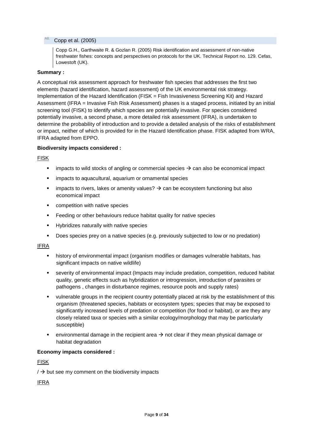# <span id="page-8-0"></span>Copp et al. (2005)

Copp G.H., Garthwaite R. & Gozlan R. (2005) Risk identification and assessment of non-native freshwater fishes: concepts and perspectives on protocols for the UK. Technical Report no. 129. Cefas, Lowestoft (UK).

# **Summary :**

A conceptual risk assessment approach for freshwater fish species that addresses the first two elements (hazard identification, hazard assessment) of the UK environmental risk strategy. Implementation of the Hazard Identification (FISK = Fish Invasiveness Screening Kit) and Hazard Assessment (IFRA = Invasive Fish Risk Assessment) phases is a staged process, initiated by an initial screening tool (FISK) to identify which species are potentially invasive. For species considered potentially invasive, a second phase, a more detailed risk assessment (IFRA), is undertaken to determine the probability of introduction and to provide a detailed analysis of the risks of establishment or impact, neither of which is provided for in the Hazard Identification phase. FISK adapted from WRA, IFRA adapted from EPPO.

# **Biodiversity impacts considered :**

FISK

- **impacts to wild stocks of angling or commercial species**  $\rightarrow$  **can also be economical impact**
- impacts to aquacultural, aquarium or ornamental species
- impacts to rivers, lakes or amenity values?  $\rightarrow$  can be ecosystem functioning but also economical impact
- **•** competition with native species
- **Feeding or other behaviours reduce habitat quality for native species**
- Hybridizes naturally with native species
- Does species prey on a native species (e.g. previously subjected to low or no predation)

IFRA

- **EXECT** history of environmental impact (organism modifies or damages vulnerable habitats, has significant impacts on native wildlife)
- severity of environmental impact (Impacts may include predation, competition, reduced habitat quality, genetic effects such as hybridization or introgression, introduction of parasites or pathogens , changes in disturbance regimes, resource pools and supply rates)
- vulnerable groups in the recipient country potentially placed at risk by the establishment of this organism (threatened species, habitats or ecosystem types; species that may be exposed to significantly increased levels of predation or competition (for food or habitat), or are they any closely related taxa or species with a similar ecology/morphology that may be particularly susceptible)
- environmental damage in the recipient area  $\rightarrow$  not clear if they mean physical damage or habitat degradation

#### **Economy impacts considered :**

FISK

 $/ \rightarrow$  but see my comment on the biodiversity impacts

IFRA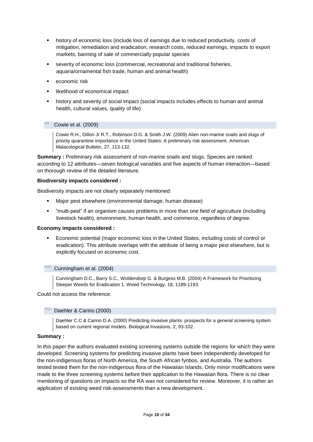- history of economic loss (include loss of earnings due to reduced productivity, costs of mitigation, remediation and eradication, research costs, reduced earnings, impacts to export markets, banning of sale of commercially popular species
- severity of economic loss (commercial, recreational and traditional fisheries, aquaria/ornamental fish trade, human and animal health)
- economic risk
- likelihood of economical impact
- history and severity of social impact (social impacts includes effects to human and animal health, cultural values, quality of life)

# <span id="page-9-0"></span>Cowie et al. (2009)

Cowie R.H., Dillon Jr R.T., Robinson D.G. & Smith J.W. (2009) Alien non-marine snails and slugs of priority quarantine importance in the United States: A preliminary risk assessment. American Malacological Bulletin, 27, 113-132.

**Summary :** Preliminary risk assessment of non-marine snails and slugs. Species are ranked according to 12 attributes—seven biological variables and five aspects of human interaction—based on thorough review of the detailed literature.

# **Biodiversity impacts considered :**

Biodiversity impacts are not clearly separately mentioned:

- Major pest elsewhere (environmental damage, human disease)
- "multi-pest" if an organism causes problems in more than one field of agriculture (including livestock health), environment, human health, and commerce, regardless of degree.

# **Economy impacts considered :**

 Economic potential (major economic loss in the United States, including costs of control or eradication). This attribute overlaps with the attribute of being a major pest elsewhere, but is explicitly focused on economic cost.

#### <span id="page-9-1"></span>Cunningham et al. (2004)

Cunningham D.C., Barry S.C., Woldendorp G. & Burgess M.B. (2004) A Framework for Prioritizing Sleeper Weeds for Eradication 1. Weed Technology, 18, 1189-1193.

<span id="page-9-2"></span>Could not access the reference.

#### Daehler & Carino (2000)

Daehler C.C & Carino D.A. (2000) Predicting invasive plants: prospects for a general screening system based on current regional models. Biological Invasions, 2, 93-102.

# **Summary :**

In this paper the authors evaluated existing screening systems outside the regions for which they were developed. Screening systems for predicting invasive plants have been independently developed for the non-indigenous floras of North America, the South African fynbos, and Australia. The authors tested tested them for the non-indigenous flora of the Hawaiian Islands. Only minor modifications were made to the three screening systems before their application to the Hawaiian flora. There is no clear mentioning of questions on impacts so the RA was not considered for review. Moreover, it is rather an application of existing weed risk-assessments than a new development.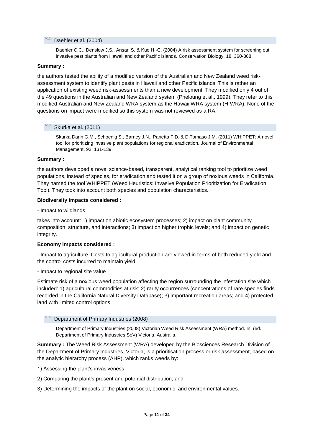# <span id="page-10-0"></span>A<sub>12</sub>. Daehler et al. (2004)

Daehler C.C., Denslow J.S., Ansari S. & Kuo H.-C. (2004) A risk assessment system for screening out invasive pest plants from Hawaii and other Pacific islands. Conservation Biology, 18, 360-368.

# **Summary :**

the authors tested the ability of a modified version of the Australian and New Zealand weed riskassessment system to identify plant pests in Hawaii and other Pacific islands. This is rather an application of existing weed risk-assessments than a new development. They modified only 4 out of the 49 questions in the Australian and New Zealand system (Pheloung et al., 1999). They refer to this modified Australian and New Zealand WRA system as the Hawaii WRA system (H-WRA). None of the questions on impact were modified so this system was not reviewed as a RA.

# <span id="page-10-1"></span>Skurka et al. (2011)

Skurka Darin G.M., Schoenig S., Barney J.N., Panetta F.D. & DiTomaso J.M. (2011) WHIPPET: A novel tool for prioritizing invasive plant populations for regional eradication. Journal of Environmental Management, 92, 131-139.

# **Summary :**

the authors developed a novel science-based, transparent, analytical ranking tool to prioritize weed populations, instead of species, for eradication and tested it on a group of noxious weeds in California. They named the tool WHIPPET (Weed Heuristics: Invasive Population Prioritization for Eradication Tool). They took into account both species and population characteristics.

# **Biodiversity impacts considered :**

- Impact to wildlands

takes into account: 1) impact on abiotic ecosystem processes; 2) impact on plant community composition, structure, and interactions; 3) impact on higher trophic levels; and 4) impact on genetic integrity.

# **Economy impacts considered :**

- Impact to agriculture. Costs to agricultural production are viewed in terms of both reduced yield and the control costs incurred to maintain yield.

- Impact to regional site value

Estimate risk of a noxious weed population affecting the region surrounding the infestation site which included: 1) agricultural commodities at risk; 2) rarity occurrences (concentrations of rare species finds recorded in the California Natural Diversity Database); 3) important recreation areas; and 4) protected land with limited control options.

# <span id="page-10-2"></span>Department of Primary Industries (2008)

Department of Primary Industries (2008) Victorian Weed Risk Assessment (WRA) method. In: (ed. Department of Primary Industries SoV) Victoria, Australia.

**Summary :** The Weed Risk Assessment (WRA) developed by the Biosciences Research Division of the Department of Primary Industries, Victoria, is a prioritisation process or risk assessment, based on the analytic hierarchy process (AHP), which ranks weeds by:

- 1) Assessing the plant's invasiveness.
- 2) Comparing the plant's present and potential distribution; and
- 3) Determining the impacts of the plant on social, economic, and environmental values.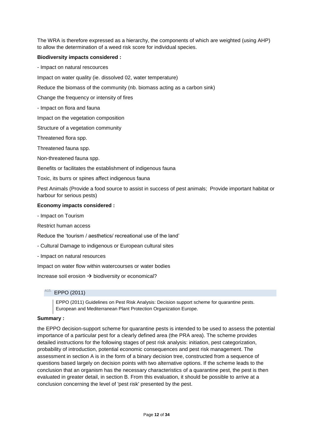The WRA is therefore expressed as a hierarchy, the components of which are weighted (using AHP) to allow the determination of a weed risk score for individual species.

# **Biodiversity impacts considered :**

- Impact on natural rescources

Impact on water quality (ie. dissolved 02, water temperature)

Reduce the biomass of the community (nb. biomass acting as a carbon sink)

Change the frequency or intensity of fires

- Impact on flora and fauna

Impact on the vegetation composition

Structure of a vegetation community

Threatened flora spp.

Threatened fauna spp.

Non-threatened fauna spp.

Benefits or facilitates the establishment of indigenous fauna

Toxic, its burrs or spines affect indigenous fauna

Pest Animals (Provide a food source to assist in success of pest animals; Provide important habitat or harbour for serious pests)

# **Economy impacts considered :**

- Impact on Tourism

Restrict human access

Reduce the 'tourism / aesthetics/ recreational use of the land'

- Cultural Damage to indigenous or European cultural sites
- Impact on natural resources

Impact on water flow within watercourses or water bodies

<span id="page-11-0"></span>Increase soil erosion  $\rightarrow$  biodiversity or economical?

# $A15.$  EPPO (2011)

EPPO (2011) Guidelines on Pest Risk Analysis: Decision support scheme for quarantine pests. European and Mediterranean Plant Protection Organization Europe.

# **Summary :**

the EPPO decision-support scheme for quarantine pests is intended to be used to assess the potential importance of a particular pest for a clearly defined area (the PRA area). The scheme provides detailed instructions for the following stages of pest risk analysis: initiation, pest categorization, probability of introduction, potential economic consequences and pest risk management. The assessment in section A is in the form of a binary decision tree, constructed from a sequence of questions based largely on decision points with two alternative options. If the scheme leads to the conclusion that an organism has the necessary characteristics of a quarantine pest, the pest is then evaluated in greater detail, in section B. From this evaluation, it should be possible to arrive at a conclusion concerning the level of 'pest risk' presented by the pest.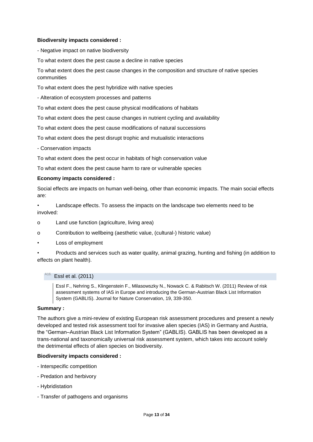# **Biodiversity impacts considered :**

- Negative impact on native biodiversity

To what extent does the pest cause a decline in native species

To what extent does the pest cause changes in the composition and structure of native species communities

To what extent does the pest hybridize with native species

- Alteration of ecosystem processes and patterns

To what extent does the pest cause physical modifications of habitats

To what extent does the pest cause changes in nutrient cycling and availability

To what extent does the pest cause modifications of natural successions

To what extent does the pest disrupt trophic and mutualistic interactions

- Conservation impacts

To what extent does the pest occur in habitats of high conservation value

To what extent does the pest cause harm to rare or vulnerable species

# **Economy impacts considered :**

Social effects are impacts on human well-being, other than economic impacts. The main social effects are:

• Landscape effects. To assess the impacts on the landscape two elements need to be involved:

- o Land use function (agriculture, living area)
- o Contribution to wellbeing (aesthetic value, (cultural-) historic value)
- Loss of employment

• Products and services such as water quality, animal grazing, hunting and fishing (in addition to effects on plant health).

#### <span id="page-12-0"></span>Essl et al. (2011)

Essl F., Nehring S., Klingenstein F., Milasowszky N., Nowack C. & Rabitsch W. (2011) Review of risk assessment systems of IAS in Europe and introducing the German-Austrian Black List Information System (GABLIS). Journal for Nature Conservation, 19, 339-350.

#### **Summary :**

The authors give a mini-review of existing European risk assessment procedures and present a newly developed and tested risk assessment tool for invasive alien species (IAS) in Germany and Austria, the "German–Austrian Black List Information System" (GABLIS). GABLIS has been developed as a trans-national and taxonomically universal risk assessment system, which takes into account solely the detrimental effects of alien species on biodiversity.

#### **Biodiversity impacts considered :**

- Interspecific competition
- Predation and herbivory
- Hybridistation
- Transfer of pathogens and organisms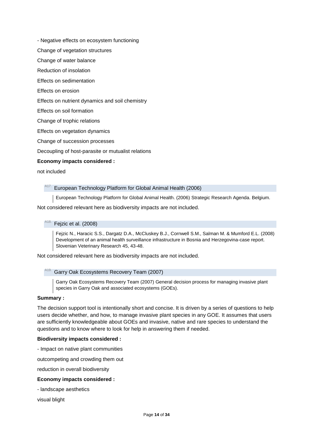- Negative effects on ecosystem functioning
- Change of vegetation structures
- Change of water balance
- Reduction of insolation
- Effects on sedimentation
- Effects on erosion
- Effects on nutrient dynamics and soil chemistry
- Effects on soil formation
- Change of trophic relations
- Effects on vegetation dynamics
- Change of succession processes
- Decoupling of host-parasite or mutualist relations

#### **Economy impacts considered :**

<span id="page-13-0"></span>not included

#### European Technology Platform for Global Animal Health (2006)

- European Technology Platform for Global Animal Health. (2006) Strategic Research Agenda. Belgium.
- <span id="page-13-1"></span>Not considered relevant here as biodiversity impacts are not included.

#### Feizic et al. (2008)

Fejzic N., Haracic S.S., Dargatz D.A., McCluskey B.J., Cornwell S.M., Salman M. & Mumford E.L. (2008) Development of an animal health surveillance infrastructure in Bosnia and Herzegovina-case report. Slovenian Veterinary Research 45, 43-48.

<span id="page-13-2"></span>Not considered relevant here as biodiversity impacts are not included.

#### Garry Oak Ecosystems Recovery Team (2007)

Garry Oak Ecosystems Recovery Team (2007) General decision process for managing invasive plant species in Garry Oak and associated ecosystems (GOEs).

# **Summary :**

The decision support tool is intentionally short and concise. It is driven by a series of questions to help users decide whether, and how, to manage invasive plant species in any GOE. It assumes that users are sufficiently knowledgeable about GOEs and invasive, native and rare species to understand the questions and to know where to look for help in answering them if needed.

## **Biodiversity impacts considered :**

- Impact on native plant communities

outcompeting and crowding them out

reduction in overall biodiversity

## **Economy impacts considered :**

- landscape aesthetics

visual blight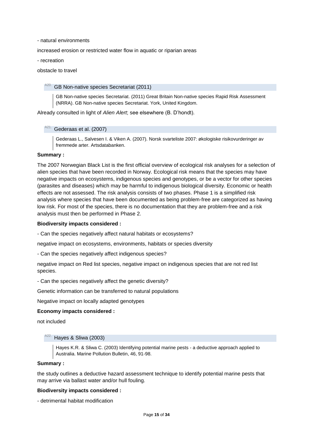- natural environments

increased erosion or restricted water flow in aquatic or riparian areas

- recreation

<span id="page-14-0"></span>obstacle to travel

#### GB Non-native species Secretariat (2011)

GB Non-native species Secretariat. (2011) Great Britain Non-native species Rapid Risk Assessment (NRRA). GB Non-native species Secretariat. York, United Kingdom.

<span id="page-14-1"></span>Already consulted in light of *Alien Alert*; see elsewhere (B. D'hondt).

#### Gederaas et al. (2007)

Gederaas L., Salvesen I. & Viken A. (2007). Norsk svarteliste 2007: økologiske risikovurderinger av fremmede arter. Artsdatabanken.

# **Summary :**

The 2007 Norwegian Black List is the first official overview of ecological risk analyses for a selection of alien species that have been recorded in Norway. Ecological risk means that the species may have negative impacts on ecosystems, indigenous species and genotypes, or be a vector for other species (parasites and diseases) which may be harmful to indigenous biological diversity. Economic or health effects are not assessed. The risk analysis consists of two phases. Phase 1 is a simplified risk analysis where species that have been documented as being problem-free are categorized as having low risk. For most of the species, there is no documentation that they are problem-free and a risk analysis must then be performed in Phase 2.

#### **Biodiversity impacts considered :**

- Can the species negatively affect natural habitats or ecosystems?

negative impact on ecosystems, environments, habitats or species diversity

- Can the species negatively affect indigenous species?

negative impact on Red list species, negative impact on indigenous species that are not red list species.

- Can the species negatively affect the genetic diversity?

Genetic information can be transferred to natural populations

Negative impact on locally adapted genotypes

#### **Economy impacts considered :**

<span id="page-14-2"></span>not included

#### Hayes & Sliwa (2003)

Hayes K.R. & Sliwa C. (2003) Identifying potential marine pests - a deductive approach applied to Australia. Marine Pollution Bulletin, 46, 91-98.

#### **Summary :**

the study outlines a deductive hazard assessment technique to identify potential marine pests that may arrive via ballast water and/or hull fouling.

#### **Biodiversity impacts considered :**

- detrimental habitat modification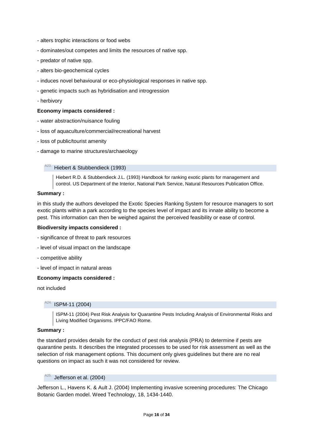- alters trophic interactions or food webs
- dominates/out competes and limits the resources of native spp.
- predator of native spp.
- alters bio-geochemical cycles
- induces novel behavioural or eco-physiological responses in native spp.
- genetic impacts such as hybridisation and introgression
- herbivory

## **Economy impacts considered :**

- water abstraction/nuisance fouling
- loss of aquaculture/commercial/recreational harvest
- loss of public/tourist amenity
- <span id="page-15-0"></span>- damage to marine structures/archaeology

#### Hiebert & Stubbendieck (1993)

Hiebert R.D. & Stubbendieck J.L. (1993) Handbook for ranking exotic plants for management and control. US Department of the Interior, National Park Service, Natural Resources Publication Office.

## **Summary :**

in this study the authors developed the Exotic Species Ranking System for resource managers to sort exotic plants within a park according to the species level of impact and its innate ability to become a pest. This information can then be weighed against the perceived feasibility or ease of control.

#### **Biodiversity impacts considered :**

- significance of threat to park resources
- level of visual impact on the landscape
- competitive ability
- level of impact in natural areas

#### **Economy impacts considered :**

<span id="page-15-1"></span>not included

#### ISPM-11 (2004)

ISPM-11 (2004) Pest Risk Analysis for Quarantine Pests Including Analysis of Environmental Risks and Living Modified Organisms. IPPC/FAO Rome.

#### **Summary :**

the standard provides details for the conduct of pest risk analysis (PRA) to determine if pests are quarantine pests. It describes the integrated processes to be used for risk assessment as well as the selection of risk management options. This document only gives guidelines but there are no real questions on impact as such it was not considered for review.

<span id="page-15-2"></span>Jefferson et al. (2004)

Jefferson L., Havens K. & Ault J. (2004) Implementing invasive screening procedures: The Chicago Botanic Garden model. Weed Technology, 18, 1434-1440.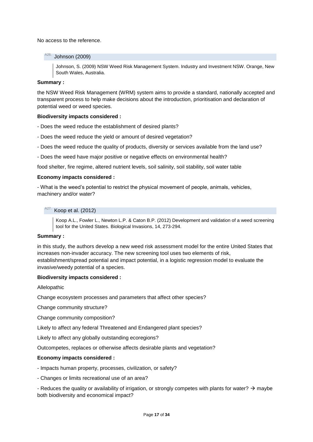<span id="page-16-0"></span>No access to the reference.

## **Johnson (2009)**

Johnson, S. (2009) NSW Weed Risk Management System. Industry and Investment NSW. Orange, New South Wales, Australia.

# **Summary :**

the NSW Weed Risk Management (WRM) system aims to provide a standard, nationally accepted and transparent process to help make decisions about the introduction, prioritisation and declaration of potential weed or weed species.

# **Biodiversity impacts considered :**

- Does the weed reduce the establishment of desired plants?

- Does the weed reduce the yield or amount of desired vegetation?
- Does the weed reduce the quality of products, diversity or services available from the land use?
- Does the weed have major positive or negative effects on environmental health?

food shelter, fire regime, altered nutrient levels, soil salinity, soil stability, soil water table

# **Economy impacts considered :**

- What is the weed's potential to restrict the physical movement of people, animals, vehicles, machinery and/or water?

<span id="page-16-1"></span>Koop et al. (2012)

Koop A.L., Fowler L., Newton L.P. & Caton B.P. (2012) Development and validation of a weed screening tool for the United States. Biological Invasions, 14, 273-294.

#### **Summary :**

in this study, the authors develop a new weed risk assessment model for the entire United States that increases non-invader accuracy. The new screening tool uses two elements of risk, establishment/spread potential and impact potential, in a logistic regression model to evaluate the invasive/weedy potential of a species.

# **Biodiversity impacts considered :**

Allelopathic

Change ecosystem processes and parameters that affect other species?

Change community structure?

Change community composition?

Likely to affect any federal Threatened and Endangered plant species?

Likely to affect any globally outstanding ecoregions?

Outcompetes, replaces or otherwise affects desirable plants and vegetation?

#### **Economy impacts considered :**

- Impacts human property, processes, civilization, or safety?
- Changes or limits recreational use of an area?

- Reduces the quality or availability of irrigation, or strongly competes with plants for water?  $\rightarrow$  maybe both biodiversity and economical impact?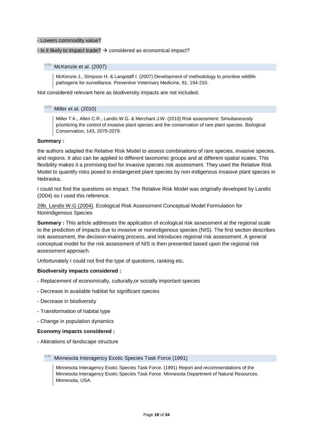#### - Lowers commodity value?

## <span id="page-17-0"></span>- Is it likely to impact trade?  $\rightarrow$  considered as economical impact?

#### McKenzie et al. (2007)

McKenzie J., Simpson H. & Langstaff I. (2007) Development of methodology to prioritise wildlife pathogens for surveillance. Preventive Veterinary Medicine, 81, 194-210.

<span id="page-17-1"></span>Not considered relevant here as biodiversity impacts are not included.

#### Miller et al. (2010)

Miller T.K., Allen C.R., Landis W.G. & Merchant J.W. (2010) Risk assessment: Simultaneously prioritizing the control of invasive plant species and the conservation of rare plant species. Biological Conservation, 143, 2070-2079.

#### **Summary :**

the authors adapted the Relative Risk Model to assess combinations of rare species, invasive species, and regions. It also can be applied to different taxonomic groups and at different spatial scales. This flexibility makes it a promising tool for invasive species risk assessment. They used the Relative Risk Model to quantify risks posed to endangered plant species by non-indigenous invasive plant species in Nebraska.

I could not find the questions on impact. The Relative Risk Model was originally developed by Landis (2004) so I used this reference.

29b. Landis W.G (2004). Ecological Risk Assessment Conceptual Model Formulation for Nonindigenous Species

**Summary :** This article addresses the application of ecological risk assessment at the regional scale to the prediction of impacts due to invasive or nonindigenous species (NIS). The first section describes risk assessment, the decision-making process, and introduces regional risk assessment. A general conceptual model for the risk assessment of NIS is then presented based upon the regional risk assessment approach.

Unfortunately I could not find the type of questions, ranking etc.

#### **Biodiversity impacts considered :**

- Replacement of economically, culturally,or socially important species
- Decrease in available habitat for significant species
- Decrease in biodiversity
- Transformation of habitat type
- Change in population dynamics

### **Economy impacts considered :**

<span id="page-17-2"></span>- Alterations of landscape structure

#### Minnesota Interagency Exotic Species Task Force (1991)

Minnesota Interagency Exotic Species Task Force. (1991) Report and recommendations of the Minnesota Interagency Exotic Species Task Force. Minnesota Department of Natural Resources. Minnesota, USA.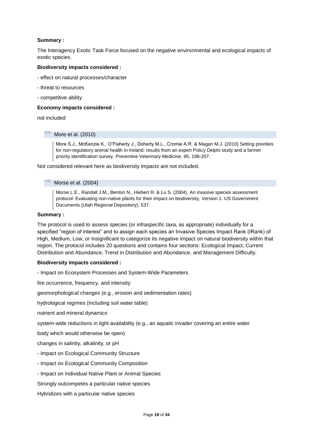# **Summary :**

The Interagency Exotic Task Force focused on the negative environmental and ecological impacts of exotic species.

# **Biodiversity impacts considered :**

- effect on natural processes/character
- threat to resources
- competitive ability

# **Economy impacts considered :**

<span id="page-18-0"></span>not included

#### More et al. (2010)

More S.J., McKenzie K., O'Flaherty J., Doherty M.L., Cromie A.R. & Magan M.J. (2010) Setting priorities for non-regulatory animal health in Ireland: results from an expert Policy Delphi study and a farmer priority identification survey. Preventive Veterinary Medicine, 95, 198-207.

<span id="page-18-1"></span>Not considered relevant here as biodiversity impacts are not included.

#### Morse et al. (2004)

Morse L.E., Randall J.M., Benton N., Hiebert R. & Lu S. (2004). An invasive species assessment protocol: Evaluating non-native plants for their impact on biodiversity, Version 1. US Government Documents (Utah Regional Depository), 537.

# **Summary :**

The protocol is used to assess species (or infraspecific taxa, as appropriate) individually for a specified "region of interest" and to assign each species an Invasive Species Impact Rank (IRank) of High, Medium, Low, or Insignificant to categorize its negative impact on natural biodiversity within that region. The protocol includes 20 questions and contains four sections: Ecological Impact, Current Distribution and Abundance, Trend in Distribution and Abundance, and Management Difficulty.

# **Biodiversity impacts considered :**

- Impact on Ecosystem Processes and System-Wide Parameters

fire occurrence, frequency, and intensity

geomorphological changes (e.g., erosion and sedimentation rates)

hydrological regimes (including soil water table)

nutrient and mineral dynamics

system-wide reductions in light availability (e.g., an aquatic invader covering an entire water

body which would otherwise be open)

changes in salinity, alkalinity, or pH

- Impact on Ecological Community Structure
- Impact on Ecological Community Composition
- Impact on Individual Native Plant or Animal Species

Strongly outcompetes a particular native species

Hybridizes with a particular native species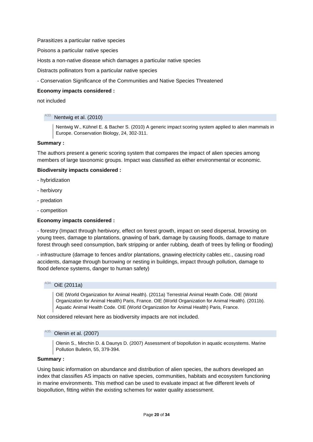Parasitizes a particular native species

Poisons a particular native species

Hosts a non-native disease which damages a particular native species

Distracts pollinators from a particular native species

- Conservation Significance of the Communities and Native Species Threatened

# **Economy impacts considered :**

<span id="page-19-0"></span>not included

# Nentwig et al. (2010)

Nentwig W., Kühnel E. & Bacher S. (2010) A generic impact scoring system applied to alien mammals in Europe. Conservation Biology, 24, 302-311.

#### **Summary :**

The authors present a generic scoring system that compares the impact of alien species among members of large taxonomic groups. Impact was classified as either environmental or economic.

# **Biodiversity impacts considered :**

- hybridization
- herbivory
- predation
- competition

# **Economy impacts considered :**

- forestry (Impact through herbivory, effect on forest growth, impact on seed dispersal, browsing on young trees, damage to plantations, gnawing of bark, damage by causing floods, damage to mature forest through seed consumption, bark stripping or antler rubbing, death of trees by felling or flooding)

- infrastructure (damage to fences and/or plantations, gnawing electricity cables etc., causing road accidents, damage through burrowing or nesting in buildings, impact through pollution, damage to flood defence systems, danger to human safety)

# <span id="page-19-1"></span>OiE (2011a)

OiE (World Organization for Animal Health). (2011a) Terrestrial Animal Health Code. OIE (World Organization for Animal Health) Paris, France. OIE (World Organization for Animal Health). (2011b). Aquatic Animal Health Code. OIE (World Organization for Animal Health) Paris, France.

<span id="page-19-2"></span>Not considered relevant here as biodiversity impacts are not included.

## Olenin et al. (2007)

Olenin S., Minchin D. & Daunys D. (2007) Assessment of biopollution in aquatic ecosystems. Marine Pollution Bulletin, 55, 379-394.

## **Summary :**

Using basic information on abundance and distribution of alien species, the authors developed an index that classifies AS impacts on native species, communities, habitats and ecosystem functioning in marine environments. This method can be used to evaluate impact at five different levels of biopollution, fitting within the existing schemes for water quality assessment.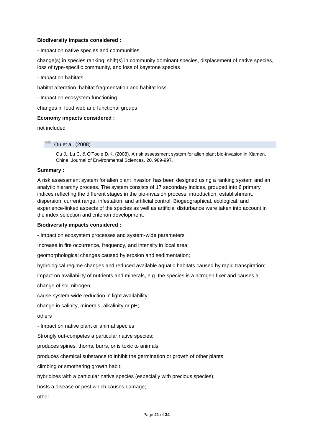# **Biodiversity impacts considered :**

- Impact on native species and communities

change(s) in species ranking, shift(s) in community dominant species, displacement of native species, loss of type-specific community, and loss of keystone species

- Impact on habitats

habitat alteration, habitat fragmentation and habitat loss

- Impact on ecosystem functioning

changes in food web and functional groups

# **Economy impacts considered :**

<span id="page-20-0"></span>not included

Ou et al. (2008)

Ou J., Lu C. & O'Toole D.K. (2008). A risk assessment system for alien plant bio-invasion in Xiamen, China. Journal of Environmental Sciences, 20, 989-997.

# **Summary :**

A risk assessment system for alien plant invasion has been designed using a ranking system and an analytic hierarchy process. The system consists of 17 secondary indices, grouped into 6 primary indices reflecting the different stages in the bio-invasion process: introduction, establishment, dispersion, current range, infestation, and artificial control. Biogeographical, ecological, and experience-linked aspects of the species as well as artificial disturbance were taken into account in the index selection and criterion development.

#### **Biodiversity impacts considered :**

- Impact on ecosystem processes and system-wide parameters

Increase in fire occurrence, frequency, and intensity in local area;

geomorphological changes caused by erosion and sedimentation;

hydrological regime changes and reduced available aquatic habitats caused by rapid transpiration;

impact on availability of nutrients and minerals, e.g. the species is a nitrogen fixer and causes a

change of soil nitrogen;

cause system-wide reduction in light availability;

change in salinity, minerals, alkalinity,or pH;

others

- Impact on native plant or animal species

Strongly out-competes a particular native species;

produces spines, thorns, burrs, or is toxic to animals;

produces chemical substance to inhibit the germination or growth of other plants;

climbing or smothering growth habit;

hybridizes with a particular native species (especially with precious species);

hosts a disease or pest which causes damage;

other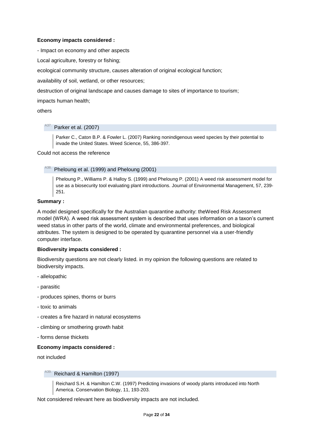# **Economy impacts considered :**

- Impact on economy and other aspects

Local agriculture, forestry or fishing;

ecological community structure, causes alteration of original ecological function;

availability of soil, wetland, or other resources;

destruction of original landscape and causes damage to sites of importance to tourism;

impacts human health;

<span id="page-21-0"></span>others

# A37. Parker et al. (2007)

Parker C., Caton B.P. & Fowler L. (2007) Ranking nonindigenous weed species by their potential to invade the United States. Weed Science, 55, 386-397.

<span id="page-21-1"></span>Could not access the reference

# A38. Pheloung et al. (1999) and Pheloung (2001)

Pheloung P., Williams P. & Halloy S. (1999) and Pheloung P. (2001) A weed risk assessment model for use as a biosecurity tool evaluating plant introductions. Journal of Environmental Management, 57, 239- 251.

# **Summary :**

A model designed specifically for the Australian quarantine authority: theWeed Risk Assessment model (WRA). A weed risk assessment system is described that uses information on a taxon's current weed status in other parts of the world, climate and environmental preferences, and biological attributes. The system is designed to be operated by quarantine personnel via a user-friendly computer interface.

## **Biodiversity impacts considered :**

Biodiversity questions are not clearly listed. in my opinion the following questions are related to biodiversity impacts.

- allelopathic
- parasitic
- produces spines, thorns or burrs
- toxic to animals
- creates a fire hazard in natural ecosystems
- climbing or smothering growth habit
- forms dense thickets

## **Economy impacts considered :**

<span id="page-21-2"></span>not included

# Reichard & Hamilton (1997)

Reichard S.H. & Hamilton C.W. (1997) Predicting invasions of woody plants introduced into North America. Conservation Biology, 11, 193-203.

Not considered relevant here as biodiversity impacts are not included.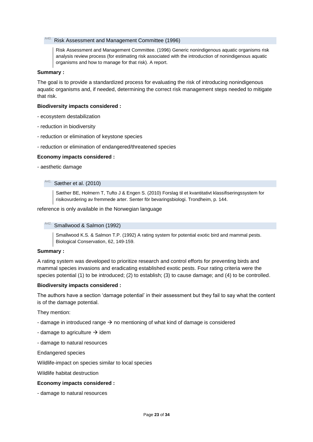#### <span id="page-22-0"></span>A40. Risk Assessment and Management Committee (1996)

Risk Assessment and Management Committee. (1996) Generic nonindigenous aquatic organisms risk analysis review process (for estimating risk associated with the introduction of nonindigenous aquatic organisms and how to manage for that risk). A report.

## **Summary :**

The goal is to provide a standardized process for evaluating the risk of introducing nonindigenous aquatic organisms and, if needed, determining the correct risk management steps needed to mitigate that risk.

#### **Biodiversity impacts considered :**

- ecosystem destabilization
- reduction in biodiversity
- reduction or elimination of keystone species
- reduction or elimination of endangered/threatened species

#### **Economy impacts considered :**

<span id="page-22-1"></span>- aesthetic damage

#### Sæther et al. (2010)

Sæther BE, Holmern T, Tufto J & Engen S. (2010) Forslag til et kvantitativt klassifiseringssystem for risikovurdering av fremmede arter. Senter för bevaringsbiologi. Trondheim, p. 144.

## <span id="page-22-2"></span>reference is only available in the Norwegian language

#### Smallwood & Salmon (1992)

Smallwood K.S. & Salmon T.P. (1992) A rating system for potential exotic bird and mammal pests. Biological Conservation, 62, 149-159.

#### **Summary :**

A rating system was developed to prioritize research and control efforts for preventing birds and mammal species invasions and eradicating established exotic pests. Four rating criteria were the species potential (1) to be introduced; (2) to establish; (3) to cause damage; and (4) to be controlled.

#### **Biodiversity impacts considered :**

The authors have a section 'damage potential' in their assessment but they fail to say what the content is of the damage potential.

They mention:

- damage in introduced range  $\rightarrow$  no mentioning of what kind of damage is considered
- damage to agriculture  $\rightarrow$  idem
- damage to natural resources

Endangered species

Wildlife-impact on species similar to local species

Wildlife habitat destruction

## **Economy impacts considered :**

- damage to natural resources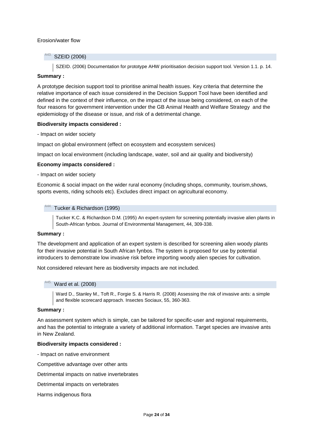# Erosion/water flow

# <span id="page-23-0"></span>A<sub>43.</sub> SZEID (2006)

SZEID. (2006) Documentation for prototype AHW prioritisation decision support tool. Version 1.1. p. 14.

## **Summary :**

A prototype decision support tool to prioritise animal health issues. Key criteria that determine the relative importance of each issue considered in the Decision Support Tool have been identified and defined in the context of their influence, on the impact of the issue being considered, on each of the four reasons for government intervention under the GB Animal Health and Welfare Strategy and the epidemiology of the disease or issue, and risk of a detrimental change.

#### **Biodiversity impacts considered :**

- Impact on wider society

Impact on global environment (effect on ecosystem and ecosystem services)

Impact on local environment (including landscape, water, soil and air quality and biodiversity)

# **Economy impacts considered :**

- Impact on wider society

Economic & social impact on the wider rural economy (including shops, community, tourism,shows, sports events, riding schools etc). Excludes direct impact on agricultural economy.

#### <span id="page-23-1"></span><sup>A44.</sup> Tucker & Richardson (1995)

Tucker K.C. & Richardson D.M. (1995) An expert-system for screening potentially invasive alien plants in South-African fynbos. Journal of Environmental Management, 44, 309-338.

#### **Summary :**

The development and application of an expert system is described for screening alien woody plants for their invasive potential in South African fynbos. The system is proposed for use by potential introducers to demonstrate low invasive risk before importing woody alien species for cultivation.

<span id="page-23-2"></span>Not considered relevant here as biodiversity impacts are not included.

## Ward et al. (2008)

Ward D., Stanley M., Toft R., Forgie S. & Harris R. (2008) Assessing the risk of invasive ants: a simple and flexible scorecard approach. Insectes Sociaux, 55, 360-363.

## **Summary :**

An assessment system which is simple, can be tailored for specific-user and regional requirements, and has the potential to integrate a variety of additional information. Target species are invasive ants in New Zealand.

#### **Biodiversity impacts considered :**

- Impact on native environment

Competitive advantage over other ants

Detrimental impacts on native invertebrates

Detrimental impacts on vertebrates

Harms indigenous flora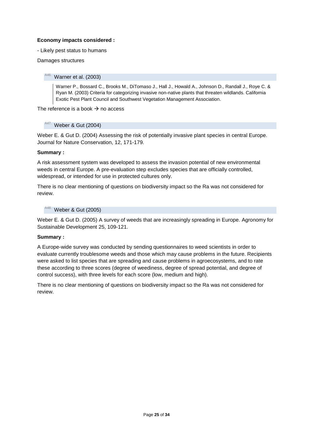# **Economy impacts considered :**

- Likely pest status to humans

<span id="page-24-0"></span>Damages structures

# Warner et al. (2003)

Warner P., Bossard C., Brooks M., DiTomaso J., Hall J., Howald A., Johnson D., Randall J., Roye C. & Ryan M. (2003) Criteria for categorizing invasive non-native plants that threaten wildlands. California Exotic Pest Plant Council and Southwest Vegetation Management Association.

<span id="page-24-1"></span>The reference is a book  $\rightarrow$  no access

# $A47.$  Weber & Gut (2004)

Weber E. & Gut D. (2004) Assessing the risk of potentially invasive plant species in central Europe. Journal for Nature Conservation, 12, 171-179.

# **Summary :**

A risk assessment system was developed to assess the invasion potential of new environmental weeds in central Europe. A pre-evaluation step excludes species that are officially controlled, widespread, or intended for use in protected cultures only.

There is no clear mentioning of questions on biodiversity impact so the Ra was not considered for review.

# <span id="page-24-2"></span>A48. Weber & Gut (2005)

Weber E. & Gut D. (2005) A survey of weeds that are increasingly spreading in Europe. Agronomy for Sustainable Development 25, 109-121.

# **Summary :**

A Europe-wide survey was conducted by sending questionnaires to weed scientists in order to evaluate currently troublesome weeds and those which may cause problems in the future. Recipients were asked to list species that are spreading and cause problems in agroecosystems, and to rate these according to three scores (degree of weediness, degree of spread potential, and degree of control success), with three levels for each score (low, medium and high).

There is no clear mentioning of questions on biodiversity impact so the Ra was not considered for review.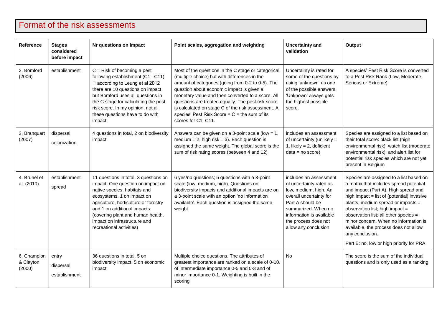# Format of the risk assessments

<span id="page-26-0"></span>

| <b>Reference</b>                   | <b>Stages</b><br>considered<br>before impact | Nr questions on impact                                                                                                                                                                                                                                                                                            | Point scales, aggregation and weighting                                                                                                                                                                                                                                                                                                                                                                                                          | <b>Uncertainty and</b><br>validation                                                                                                                                                                                         | Output                                                                                                                                                                                                                                                                                                                                                                                                                                      |
|------------------------------------|----------------------------------------------|-------------------------------------------------------------------------------------------------------------------------------------------------------------------------------------------------------------------------------------------------------------------------------------------------------------------|--------------------------------------------------------------------------------------------------------------------------------------------------------------------------------------------------------------------------------------------------------------------------------------------------------------------------------------------------------------------------------------------------------------------------------------------------|------------------------------------------------------------------------------------------------------------------------------------------------------------------------------------------------------------------------------|---------------------------------------------------------------------------------------------------------------------------------------------------------------------------------------------------------------------------------------------------------------------------------------------------------------------------------------------------------------------------------------------------------------------------------------------|
| 2. Bomford<br>(2006)               | establishment                                | $C =$ Risk of becoming a pest<br>following establishment (C1-C11)<br>□ according to Leung et al 2012<br>there are 10 questions on impact<br>but Bomford uses all questions in<br>the C stage for calculating the pest<br>risk score. In my opinion, not all<br>these questions have to do with<br>impact.         | Most of the questions in the C stage or categorical<br>(multiple choice) but with differences in the<br>amount of categories (going from 0-2 to 0-5). The<br>question about economic impact is given a<br>monetary value and then converted to a score. All<br>questions are treated equally. The pest risk score<br>is calculated on stage C of the risk assessment. A<br>species' Pest Risk Score = $C$ = the sum of its<br>scores for C1-C11. | Uncertainty is rated for<br>some of the questions by<br>using 'unknown' as one<br>of the possible answers.<br>'Unknown' always gets<br>the highest possible<br>score.                                                        | A species' Pest Risk Score is converted<br>to a Pest Risk Rank (Low, Moderate,<br>Serious or Extreme)                                                                                                                                                                                                                                                                                                                                       |
| 3. Branquart<br>(2007)             | dispersal<br>colonization                    | 4 questions in total, 2 on biodiversity<br>impact                                                                                                                                                                                                                                                                 | Answers can be given on a 3-point scale (low = $1$ ,<br>medium = $2$ , high risk = $3$ ). Each question is<br>assigned the same weight. The global score is the<br>sum of risk rating scores (between 4 and 12)                                                                                                                                                                                                                                  | includes an assessment<br>of uncertainty (unlikely $=$<br>1, likely = $2$ , deficient<br>$data = no score)$                                                                                                                  | Species are assigned to a list based on<br>their total score: black list (high<br>environmental risk), watch list (moderate<br>environmental risk), and alert list for<br>potential risk species which are not yet<br>present in Belgium                                                                                                                                                                                                    |
| 4. Brunel et<br>al. (2010)         | establishment<br>spread                      | 11 questions in total. 3 questions on<br>impact. One question on impact on<br>native species, habitats and<br>ecosystems, 1 on impact on<br>agriculture, horticulture or forestry<br>and 1 on additional impacts<br>(covering plant and human health,<br>impact on infrastructure and<br>recreational activities) | 6 yes/no questions; 5 questions with a 3-point<br>scale (low, medium, high). Questions on<br>biodiversity impacts and additional impacts are on<br>a 3-point scale with an option 'no information<br>available'. Each question is assigned the same<br>weight                                                                                                                                                                                    | includes an assessment<br>of uncertainty rated as<br>low, medium, high. An<br>overall uncertainty for<br>Part A should be<br>summarized. When no<br>information is available<br>the process does not<br>allow any conclusion | Species are assigned to a list based on<br>a matrix that includes spread potential<br>and impact (Part A). High spread and<br>high impact = list of (potential) invasive<br>plants; medium spread or impacts =<br>observation list; high impact =<br>observation list; all other species =<br>minor concern. When no information is<br>available, the process does not allow<br>any conclusion.<br>Part B: no, low or high priority for PRA |
| 6. Champion<br>& Clayton<br>(2000) | entry<br>dispersal<br>establishment          | 36 questions in total, 5 on<br>biodiversity impact, 5 on economic<br>impact                                                                                                                                                                                                                                       | Multiple choice questions. The attributes of<br>greatest importance are ranked on a scale of 0-10,<br>of intermediate importance 0-5 and 0-3 and of<br>minor importance 0-1. Weighting is built in the<br>scoring                                                                                                                                                                                                                                | <b>No</b>                                                                                                                                                                                                                    | The score is the sum of the individual<br>questions and is only used as a ranking                                                                                                                                                                                                                                                                                                                                                           |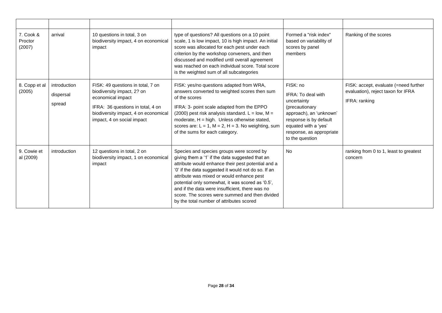| 7. Cook &<br>Proctor<br>(2007) | arrival                             | 10 questions in total, 3 on<br>biodiversity impact, 4 on economical<br>impact                                                                                                                   | type of questions? All questions on a 10 point<br>scale, 1 is low impact, 10 is high impact. An initial<br>score was allocated for each pest under each<br>criterion by the workshop conveners, and then<br>discussed and modified until overall agreement<br>was reached on each individual score. Total score<br>is the weighted sum of all subcategories                                                                                                 | Formed a "risk index"<br>based on variability of<br>scores by panel<br>members                                                                                                              | Ranking of the scores                                                                        |
|--------------------------------|-------------------------------------|-------------------------------------------------------------------------------------------------------------------------------------------------------------------------------------------------|-------------------------------------------------------------------------------------------------------------------------------------------------------------------------------------------------------------------------------------------------------------------------------------------------------------------------------------------------------------------------------------------------------------------------------------------------------------|---------------------------------------------------------------------------------------------------------------------------------------------------------------------------------------------|----------------------------------------------------------------------------------------------|
| 8. Copp et al<br>(2005)        | introduction<br>dispersal<br>spread | FISK: 49 questions in total, 7 on<br>biodiversity impact, 2? on<br>economical impact<br>IFRA: 36 questions in total, 4 on<br>biodiversity impact, 4 on economical<br>impact, 4 on social impact | FISK: yes/no questions adapted from WRA,<br>answers converted to weighted scores then sum<br>of the scores<br>IFRA: 3- point scale adapted from the EPPO<br>(2000) pest risk analysis standard. $L = low$ , M =<br>moderate, $H = high$ . Unless otherwise stated,<br>scores are: $L = 1$ , $M = 2$ , $H = 3$ . No weighting, sum<br>of the sums for each category.                                                                                         | FISK: no<br>IFRA: To deal with<br>uncertainty<br>(precautionary<br>approach), an 'unknown'<br>response is by default<br>equated with a 'yes'<br>response, as appropriate<br>to the question | FISK: accept, evaluate (=need further<br>evaluation), reject taxon for IFRA<br>IFRA: ranking |
| 9. Cowie et<br>al (2009)       | introduction                        | 12 questions in total, 2 on<br>biodiversity impact, 1 on economical<br>impact                                                                                                                   | Species and species groups were scored by<br>giving them a '1' if the data suggested that an<br>attribute would enhance their pest potential and a<br>'0' if the data suggested it would not do so. If an<br>attribute was mixed or would enhance pest<br>potential only somewhat, it was scored as '0.5',<br>and if the data were insufficient, there was no<br>score. The scores were summed and then divided<br>by the total number of attributes scored | <b>No</b>                                                                                                                                                                                   | ranking from 0 to 1, least to greatest<br>concern                                            |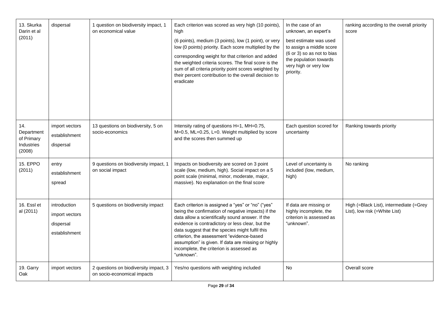| 13. Skurka<br>Darin et al<br>(2011)                     | dispersal                                                    | 1 question on biodiversity impact, 1<br>on economical value          | Each criterion was scored as very high (10 points),<br>high<br>(6 points), medium (3 points), low (1 point), or very<br>low (0 points) priority. Each score multiplied by the<br>corresponding weight for that criterion and added<br>the weighted criteria scores. The final score is the<br>sum of all criteria priority point scores weighted by<br>their percent contribution to the overall decision to<br>eradicate        | In the case of an<br>unknown, an expert's<br>best estimate was used<br>to assign a middle score<br>(6 or 3) so as not to bias<br>the population towards<br>very high or very low<br>priority. | ranking according to the overall priority<br>score                       |
|---------------------------------------------------------|--------------------------------------------------------------|----------------------------------------------------------------------|----------------------------------------------------------------------------------------------------------------------------------------------------------------------------------------------------------------------------------------------------------------------------------------------------------------------------------------------------------------------------------------------------------------------------------|-----------------------------------------------------------------------------------------------------------------------------------------------------------------------------------------------|--------------------------------------------------------------------------|
| 14.<br>Department<br>of Primary<br>Industries<br>(2008) | import vectors<br>establishment<br>dispersal                 | 13 questions on biodiversity, 5 on<br>socio-economics                | Intensity rating of questions H=1, MH=0.75,<br>M=0.5, ML=0.25, L=0. Weight multiplied by score<br>and the scores then summed up                                                                                                                                                                                                                                                                                                  | Each question scored for<br>uncertainty                                                                                                                                                       | Ranking towards priority                                                 |
| 15. EPPO<br>(2011)                                      | entry<br>establishment<br>spread                             | 9 questions on biodiversity impact, 1<br>on social impact            | Impacts on biodiversity are scored on 3 point<br>scale (low, medium, high). Social impact on a 5<br>point scale (minimal, minor, moderate, major,<br>massive). No explanation on the final score                                                                                                                                                                                                                                 | Level of uncertainty is<br>included (low, medium,<br>high)                                                                                                                                    | No ranking                                                               |
| 16. Essl et<br>al (2011)                                | introduction<br>import vectors<br>dispersal<br>establishment | 5 questions on biodiversity impact                                   | Each criterion is assigned a "yes" or "no" ("yes"<br>being the confirmation of negative impacts) if the<br>data allow a scientifically sound answer. If the<br>evidence is contradictory or less clear, but the<br>data suggest that the species might fulfil this<br>criterion, the assessment "evidence-based<br>assumption" is given. If data are missing or highly<br>incomplete, the criterion is assessed as<br>"unknown". | If data are missing or<br>highly incomplete, the<br>criterion is assessed as<br>"unknown".                                                                                                    | High (=Black List), intermediate (=Grey<br>List), low risk (=White List) |
| 19. Garry<br>Oak                                        | import vectors                                               | 2 questions on biodiversity impact, 3<br>on socio-economical impacts | Yes/no questions with weighting included                                                                                                                                                                                                                                                                                                                                                                                         | <b>No</b>                                                                                                                                                                                     | Overall score                                                            |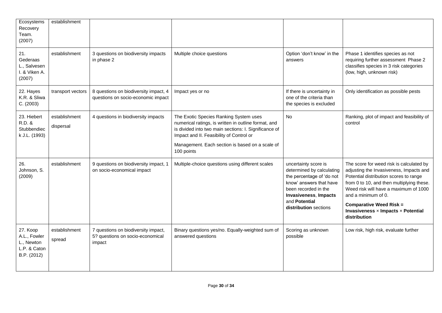| Ecosystems<br>Recovery<br>Team.<br>(2007)                             | establishment              |                                                                                   |                                                                                                                                                                                                                                                                      |                                                                                                                                                                                                      |                                                                                                                                                                                                                                                                                                                                    |
|-----------------------------------------------------------------------|----------------------------|-----------------------------------------------------------------------------------|----------------------------------------------------------------------------------------------------------------------------------------------------------------------------------------------------------------------------------------------------------------------|------------------------------------------------------------------------------------------------------------------------------------------------------------------------------------------------------|------------------------------------------------------------------------------------------------------------------------------------------------------------------------------------------------------------------------------------------------------------------------------------------------------------------------------------|
| 21.<br>Gederaas<br>L., Salvesen<br>I. & Viken A.<br>(2007)            | establishment              | 3 questions on biodiversity impacts<br>in phase 2                                 | Multiple choice questions                                                                                                                                                                                                                                            | Option 'don't know' in the<br>answers                                                                                                                                                                | Phase 1 identifies species as not<br>requiring further assessment Phase 2<br>classifies species in 3 risk categories<br>(low, high, unknown risk)                                                                                                                                                                                  |
| 22. Hayes<br>K.R. & Sliwa<br>C. (2003)                                | transport vectors          | 8 questions on biodiversity impact, 4<br>questions on socio-economic impact       | Impact yes or no                                                                                                                                                                                                                                                     | If there is uncertainty in<br>one of the criteria than<br>the species is excluded                                                                                                                    | Only identification as possible pests                                                                                                                                                                                                                                                                                              |
| 23. Hiebert<br>R.D. &<br>Stubbendiec<br>k J.L. (1993)                 | establishment<br>dispersal | 4 questions in biodiversity impacts                                               | The Exotic Species Ranking System uses<br>numerical ratings, is written in outline format, and<br>is divided into two main sections: I. Significance of<br>Impact and II. Feasibility of Control or<br>Management. Each section is based on a scale of<br>100 points | No                                                                                                                                                                                                   | Ranking, plot of impact and feasibility of<br>control                                                                                                                                                                                                                                                                              |
| 26.<br>Johnson, S.<br>(2009)                                          | establishment              | 9 questions on biodiversity impact, 1<br>on socio-economical impact               | Multiple-choice questions using different scales                                                                                                                                                                                                                     | uncertainty score is<br>determined by calculating<br>the percentage of 'do not<br>know' answers that have<br>been recorded in the<br>Invasiveness, Impacts<br>and Potential<br>distribution sections | The score for weed risk is calculated by<br>adjusting the Invasiveness, Impacts and<br>Potential distribution scores to range<br>from 0 to 10, and then multiplying these.<br>Weed risk will have a maximum of 1000<br>and a minimum of 0.<br><b>Comparative Weed Risk =</b><br>Invasiveness x Impacts x Potential<br>distribution |
| 27. Koop<br>A.L., Fowler<br>L., Newton<br>L.P. & Caton<br>B.P. (2012) | establishment<br>spread    | 7 questions on biodiversity impact,<br>5? questions on socio-economical<br>impact | Binary questions yes/no. Equally-weighted sum of<br>answered questions                                                                                                                                                                                               | Scoring as unknown<br>possible                                                                                                                                                                       | Low risk, high risk, evaluate further                                                                                                                                                                                                                                                                                              |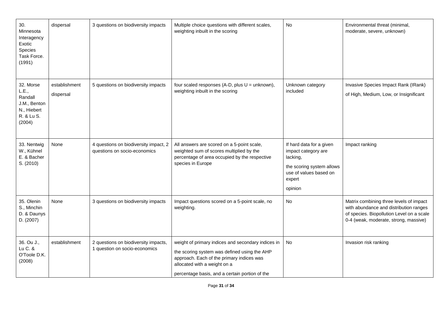| 30.<br>Minnesota<br>Interagency<br>Exotic<br>Species<br>Task Force.<br>(1991)        | dispersal                  | 3 questions on biodiversity impacts                                   | Multiple choice questions with different scales,<br>weighting inbuilt in the scoring                                                                                                                                              | No                                                                                                                                      | Environmental threat (minimal,<br>moderate, severe, unknown)                                                                                                            |
|--------------------------------------------------------------------------------------|----------------------------|-----------------------------------------------------------------------|-----------------------------------------------------------------------------------------------------------------------------------------------------------------------------------------------------------------------------------|-----------------------------------------------------------------------------------------------------------------------------------------|-------------------------------------------------------------------------------------------------------------------------------------------------------------------------|
| 32. Morse<br>L.E.,<br>Randall<br>J.M., Benton<br>N., Hiebert<br>R. & Lu S.<br>(2004) | establishment<br>dispersal | 5 questions on biodiversity impacts                                   | four scaled responses (A-D, plus $U =$ unknown),<br>weighting inbuilt in the scoring                                                                                                                                              | Unknown category<br>included                                                                                                            | Invasive Species Impact Rank (IRank)<br>of High, Medium, Low, or Insignificant                                                                                          |
| 33. Nentwig<br>W., Kühnel<br>E. & Bacher<br>S. (2010)                                | None                       | 4 questions on biodiversity impact, 2<br>questions on socio-economics | All answers are scored on a 5-point scale,<br>weighted sum of scores multiplied by the<br>percentage of area occupied by the respective<br>species in Europe                                                                      | If hard data for a given<br>impact category are<br>lacking,<br>the scoring system allows<br>use of values based on<br>expert<br>opinion | Impact ranking                                                                                                                                                          |
| 35. Olenin<br>S., Minchin<br>D. & Daunys<br>D. (2007)                                | None                       | 3 questions on biodiversity impacts                                   | Impact questions scored on a 5-point scale, no<br>weighting.                                                                                                                                                                      | <b>No</b>                                                                                                                               | Matrix combining three levels of impact<br>with abundance and distribution ranges<br>of species. Biopollution Level on a scale<br>0-4 (weak, moderate, strong, massive) |
| 36. Ou J.,<br>Lu C. &<br>O'Toole D.K.<br>(2008)                                      | establishment              | 2 questions on biodiversity impacts,<br>1 question on socio-economics | weight of primary indices and secondary indices in<br>the scoring system was defined using the AHP<br>approach. Each of the primary indices was<br>allocated with a weight on a<br>percentage basis, and a certain portion of the | No                                                                                                                                      | Invasion risk ranking                                                                                                                                                   |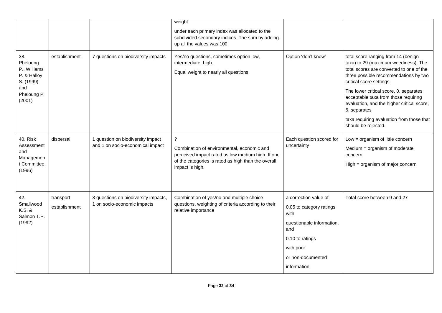|                                                                                             |                            |                                                                       | weight<br>under each primary index was allocated to the<br>subdivided secondary indices. The sum by adding<br>up all the values was 100.                                                 |                                                                                                                                                                   |                                                                                                                                                                                                                                                                                                                                                                                                                  |
|---------------------------------------------------------------------------------------------|----------------------------|-----------------------------------------------------------------------|------------------------------------------------------------------------------------------------------------------------------------------------------------------------------------------|-------------------------------------------------------------------------------------------------------------------------------------------------------------------|------------------------------------------------------------------------------------------------------------------------------------------------------------------------------------------------------------------------------------------------------------------------------------------------------------------------------------------------------------------------------------------------------------------|
| 38.<br>Pheloung<br>P., Williams<br>P. & Halloy<br>S. (1999)<br>and<br>Pheloung P.<br>(2001) | establishment              | 7 questions on biodiversity impacts                                   | Yes/no questions, sometimes option low,<br>intermediate, high.<br>Equal weight to nearly all questions                                                                                   | Option 'don't know'                                                                                                                                               | total score ranging from 14 (benign<br>taxa) to 29 (maximum weediness). The<br>total scores are converted to one of the<br>three possible recommendations by two<br>critical score settings.<br>The lower critical score, 0, separates<br>acceptable taxa from those requiring<br>evaluation, and the higher critical score,<br>6, separates<br>taxa requiring evaluation from those that<br>should be rejected. |
| 40. Risk<br>Assessment<br>and<br>Managemen<br>t Committee.<br>(1996)                        | dispersal                  | 1 question on biodiversity impact<br>and 1 on socio-economical impact | $\tilde{?}$<br>Combination of environmental, economic and<br>perceived impact rated as low medium high. If one<br>of the categories is rated as high than the overall<br>impact is high. | Each question scored for<br>uncertainty                                                                                                                           | Low = organism of little concern<br>Medium = organism of moderate<br>concern<br>High = organism of major concern                                                                                                                                                                                                                                                                                                 |
| 42.<br>Smallwood<br>K.S. &<br>Salmon T.P.<br>(1992)                                         | transport<br>establishment | 3 questions on biodiversity impacts,<br>1 on socio-economic impacts   | Combination of yes/no and multiple choice<br>questions. weighting of criteria according to their<br>relative importance                                                                  | a correction value of<br>0.05 to category ratings<br>with<br>questionable information,<br>and<br>0.10 to ratings<br>with poor<br>or non-documented<br>information | Total score between 9 and 27                                                                                                                                                                                                                                                                                                                                                                                     |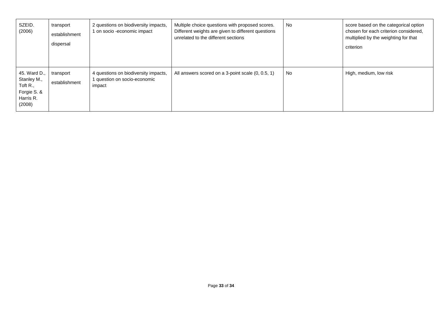| SZEID.<br>(2006)                                                                        | transport<br>establishment<br>dispersal | 2 questions on biodiversity impacts,<br>1 on socio -economic impact            | Multiple choice questions with proposed scores.<br>Different weights are given to different questions<br>unrelated to the different sections | <b>No</b> | score based on the categorical option<br>chosen for each criterion considered,<br>multiplied by the weighting for that<br>criterion |
|-----------------------------------------------------------------------------------------|-----------------------------------------|--------------------------------------------------------------------------------|----------------------------------------------------------------------------------------------------------------------------------------------|-----------|-------------------------------------------------------------------------------------------------------------------------------------|
| 45. Ward D.,<br>Stanley M.,<br>Toft $R_{\cdot}$ ,<br>Forgie S. &<br>Harris R.<br>(2008) | transport<br>establishment              | 4 questions on biodiversity impacts,<br>1 question on socio-economic<br>impact | All answers scored on a 3-point scale (0, 0.5, 1)                                                                                            | No.       | High, medium, low risk                                                                                                              |